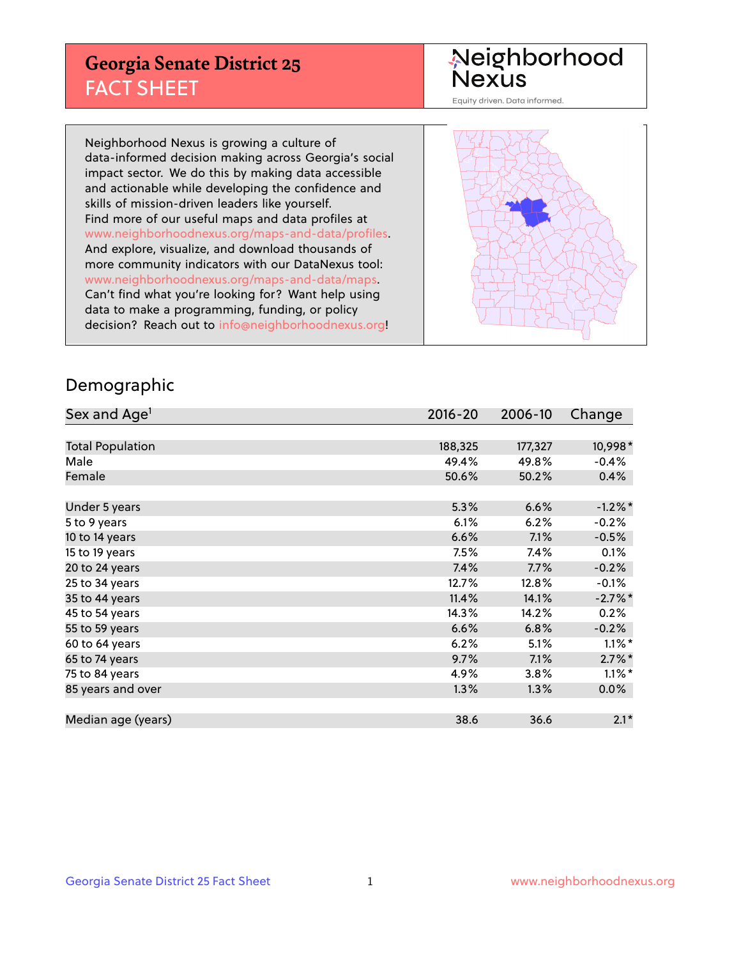## **Georgia Senate District 25** FACT SHEET

# Neighborhood<br>Nexus

Equity driven. Data informed.

Neighborhood Nexus is growing a culture of data-informed decision making across Georgia's social impact sector. We do this by making data accessible and actionable while developing the confidence and skills of mission-driven leaders like yourself. Find more of our useful maps and data profiles at www.neighborhoodnexus.org/maps-and-data/profiles. And explore, visualize, and download thousands of more community indicators with our DataNexus tool: www.neighborhoodnexus.org/maps-and-data/maps. Can't find what you're looking for? Want help using data to make a programming, funding, or policy decision? Reach out to [info@neighborhoodnexus.org!](mailto:info@neighborhoodnexus.org)



### Demographic

| Sex and Age <sup>1</sup> | $2016 - 20$ | 2006-10 | Change    |
|--------------------------|-------------|---------|-----------|
|                          |             |         |           |
| <b>Total Population</b>  | 188,325     | 177,327 | 10,998*   |
| Male                     | 49.4%       | 49.8%   | $-0.4%$   |
| Female                   | 50.6%       | 50.2%   | 0.4%      |
|                          |             |         |           |
| Under 5 years            | 5.3%        | 6.6%    | $-1.2%$ * |
| 5 to 9 years             | 6.1%        | 6.2%    | $-0.2%$   |
| 10 to 14 years           | 6.6%        | 7.1%    | $-0.5%$   |
| 15 to 19 years           | 7.5%        | 7.4%    | 0.1%      |
| 20 to 24 years           | 7.4%        | 7.7%    | $-0.2%$   |
| 25 to 34 years           | 12.7%       | 12.8%   | $-0.1\%$  |
| 35 to 44 years           | 11.4%       | 14.1%   | $-2.7%$ * |
| 45 to 54 years           | 14.3%       | 14.2%   | 0.2%      |
| 55 to 59 years           | 6.6%        | 6.8%    | $-0.2%$   |
| 60 to 64 years           | 6.2%        | 5.1%    | $1.1\%$ * |
| 65 to 74 years           | 9.7%        | 7.1%    | $2.7\%$ * |
| 75 to 84 years           | 4.9%        | 3.8%    | $1.1\%$ * |
| 85 years and over        | 1.3%        | 1.3%    | 0.0%      |
|                          |             |         |           |
| Median age (years)       | 38.6        | 36.6    | $2.1*$    |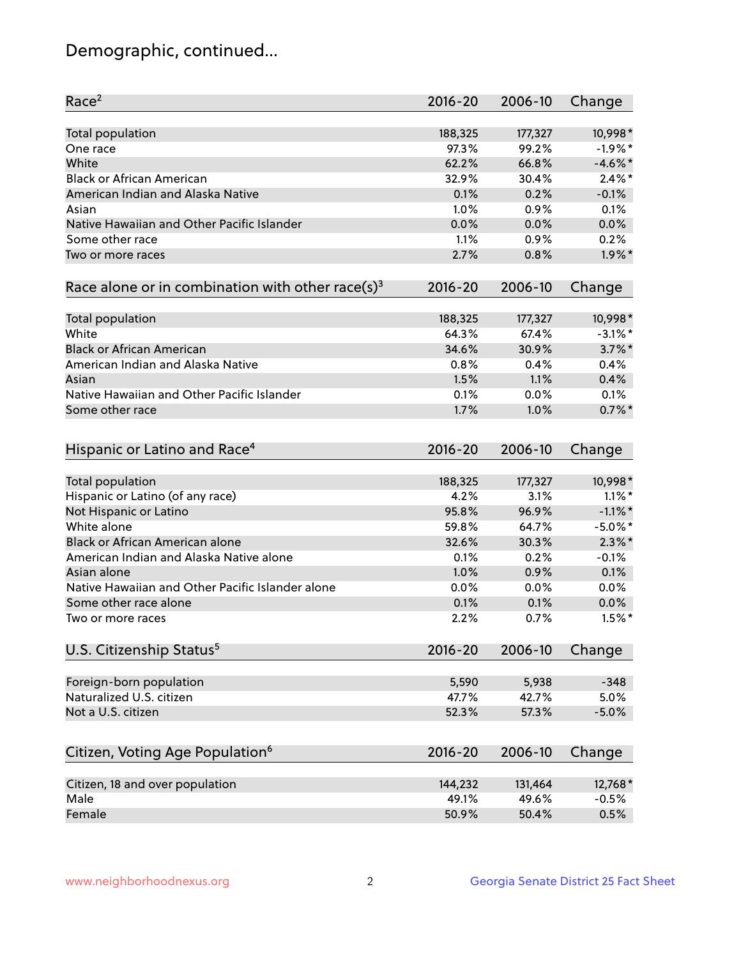## Demographic, continued...

| Race <sup>2</sup>                                            | $2016 - 20$ | 2006-10 | Change     |
|--------------------------------------------------------------|-------------|---------|------------|
| <b>Total population</b>                                      | 188,325     | 177,327 | 10,998*    |
| One race                                                     | 97.3%       | 99.2%   | $-1.9%$ *  |
| White                                                        | 62.2%       | 66.8%   | $-4.6\%$ * |
| <b>Black or African American</b>                             | 32.9%       | 30.4%   | $2.4\%$ *  |
| American Indian and Alaska Native                            | 0.1%        | 0.2%    | $-0.1%$    |
| Asian                                                        | 1.0%        | 0.9%    | 0.1%       |
| Native Hawaiian and Other Pacific Islander                   | 0.0%        | 0.0%    | 0.0%       |
| Some other race                                              | 1.1%        | 0.9%    | 0.2%       |
| Two or more races                                            | 2.7%        | 0.8%    | $1.9\%$ *  |
| Race alone or in combination with other race(s) <sup>3</sup> | $2016 - 20$ | 2006-10 | Change     |
|                                                              |             |         |            |
| Total population                                             | 188,325     | 177,327 | 10,998*    |
| White                                                        | 64.3%       | 67.4%   | $-3.1\%$ * |
| <b>Black or African American</b>                             | 34.6%       | 30.9%   | $3.7\%$ *  |
| American Indian and Alaska Native                            | 0.8%        | 0.4%    | 0.4%       |
| Asian                                                        | 1.5%        | 1.1%    | 0.4%       |
| Native Hawaiian and Other Pacific Islander                   | 0.1%        | 0.0%    | 0.1%       |
| Some other race                                              | 1.7%        | 1.0%    | $0.7\%$ *  |
|                                                              |             |         |            |
| Hispanic or Latino and Race <sup>4</sup>                     | $2016 - 20$ | 2006-10 | Change     |
| Total population                                             | 188,325     | 177,327 | 10,998*    |
| Hispanic or Latino (of any race)                             | 4.2%        | 3.1%    | $1.1\%$ *  |
| Not Hispanic or Latino                                       | 95.8%       | 96.9%   | $-1.1\%$ * |
| White alone                                                  | 59.8%       | 64.7%   | $-5.0\%$ * |
| Black or African American alone                              | 32.6%       | 30.3%   | $2.3\%$ *  |
| American Indian and Alaska Native alone                      | 0.1%        | 0.2%    | $-0.1%$    |
| Asian alone                                                  | 1.0%        | 0.9%    | 0.1%       |
| Native Hawaiian and Other Pacific Islander alone             | 0.0%        | 0.0%    | 0.0%       |
| Some other race alone                                        | 0.1%        | 0.1%    | 0.0%       |
| Two or more races                                            | 2.2%        | 0.7%    | $1.5%$ *   |
|                                                              |             |         |            |
| U.S. Citizenship Status <sup>5</sup>                         | $2016 - 20$ | 2006-10 | Change     |
| Foreign-born population                                      | 5,590       | 5,938   | $-348$     |
| Naturalized U.S. citizen                                     | 47.7%       | 42.7%   | 5.0%       |
| Not a U.S. citizen                                           |             |         |            |
|                                                              | 52.3%       | 57.3%   | $-5.0%$    |
| Citizen, Voting Age Population <sup>6</sup>                  | $2016 - 20$ | 2006-10 | Change     |
|                                                              |             |         |            |
| Citizen, 18 and over population                              | 144,232     | 131,464 | 12,768*    |
| Male                                                         | 49.1%       | 49.6%   | $-0.5%$    |
| Female                                                       | 50.9%       | 50.4%   | 0.5%       |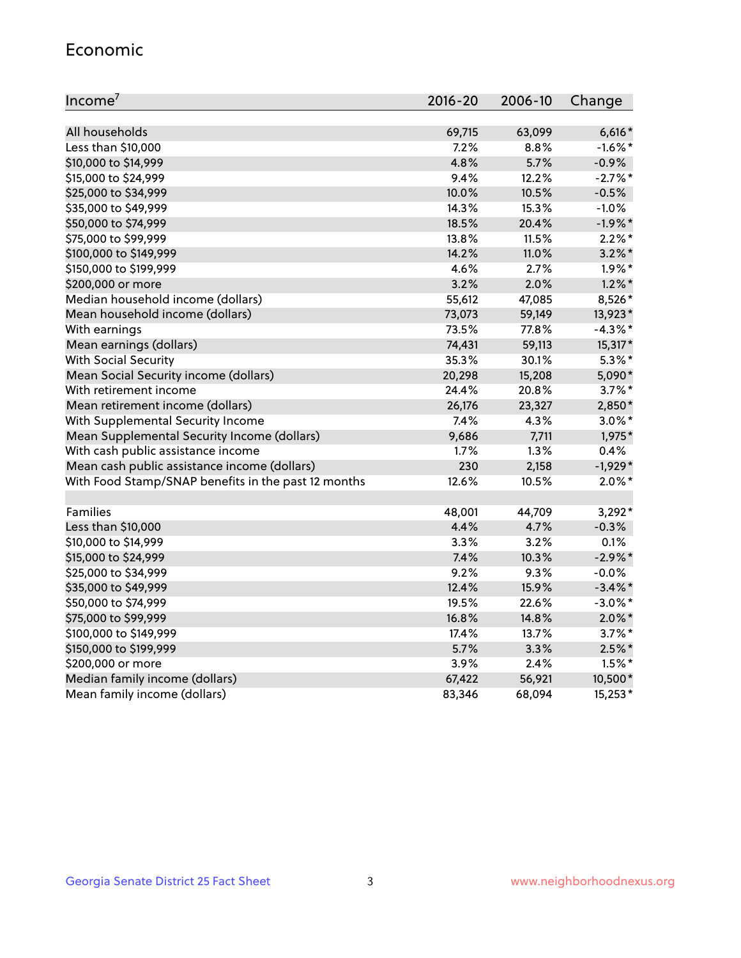#### Economic

| Income <sup>7</sup>                                    | 2016-20        | 2006-10        | Change                 |
|--------------------------------------------------------|----------------|----------------|------------------------|
|                                                        |                |                |                        |
| All households<br>Less than \$10,000                   | 69,715<br>7.2% | 63,099<br>8.8% | $6,616*$<br>$-1.6%$ *  |
| \$10,000 to \$14,999                                   | 4.8%           | 5.7%           |                        |
|                                                        | 9.4%           | 12.2%          | $-0.9%$<br>$-2.7%$ *   |
| \$15,000 to \$24,999                                   | 10.0%          | 10.5%          | $-0.5%$                |
| \$25,000 to \$34,999                                   | 14.3%          | 15.3%          | $-1.0%$                |
| \$35,000 to \$49,999                                   | 18.5%          | 20.4%          | $-1.9%$ *              |
| \$50,000 to \$74,999                                   | 13.8%          | 11.5%          | $2.2\%$ *              |
| \$75,000 to \$99,999                                   | 14.2%          | 11.0%          |                        |
| \$100,000 to \$149,999                                 | 4.6%           | 2.7%           | $3.2\%$ *<br>$1.9\%$ * |
| \$150,000 to \$199,999                                 | 3.2%           | 2.0%           | $1.2\%$ *              |
| \$200,000 or more<br>Median household income (dollars) | 55,612         | 47,085         | 8,526*                 |
|                                                        |                |                |                        |
| Mean household income (dollars)                        | 73,073         | 59,149         | 13,923*                |
| With earnings                                          | 73.5%          | 77.8%          | $-4.3\%$ *             |
| Mean earnings (dollars)                                | 74,431         | 59,113         | 15,317*                |
| <b>With Social Security</b>                            | 35.3%          | 30.1%          | $5.3\%$ *              |
| Mean Social Security income (dollars)                  | 20,298         | 15,208         | 5,090*                 |
| With retirement income                                 | 24.4%          | 20.8%          | $3.7\%$ *              |
| Mean retirement income (dollars)                       | 26,176         | 23,327         | 2,850*                 |
| With Supplemental Security Income                      | 7.4%           | 4.3%           | $3.0\%$ *              |
| Mean Supplemental Security Income (dollars)            | 9,686          | 7,711          | 1,975*                 |
| With cash public assistance income                     | 1.7%           | 1.3%           | 0.4%                   |
| Mean cash public assistance income (dollars)           | 230            | 2,158          | $-1,929*$              |
| With Food Stamp/SNAP benefits in the past 12 months    | 12.6%          | 10.5%          | $2.0\%$ *              |
| Families                                               | 48,001         | 44,709         | $3,292*$               |
| Less than \$10,000                                     | 4.4%           | 4.7%           | $-0.3%$                |
| \$10,000 to \$14,999                                   | 3.3%           | 3.2%           | 0.1%                   |
| \$15,000 to \$24,999                                   | 7.4%           | 10.3%          | $-2.9\%$ *             |
| \$25,000 to \$34,999                                   | 9.2%           | 9.3%           | $-0.0\%$               |
| \$35,000 to \$49,999                                   | 12.4%          | 15.9%          | $-3.4\%$ *             |
| \$50,000 to \$74,999                                   | 19.5%          | 22.6%          | $-3.0\%$ *             |
| \$75,000 to \$99,999                                   | 16.8%          | 14.8%          | $2.0\%$ *              |
| \$100,000 to \$149,999                                 | 17.4%          | 13.7%          | $3.7\%$ *              |
| \$150,000 to \$199,999                                 | 5.7%           | 3.3%           | $2.5\%$ *              |
| \$200,000 or more                                      | 3.9%           | 2.4%           | $1.5%$ *               |
| Median family income (dollars)                         | 67,422         | 56,921         | 10,500*                |
| Mean family income (dollars)                           | 83,346         | 68,094         | 15,253*                |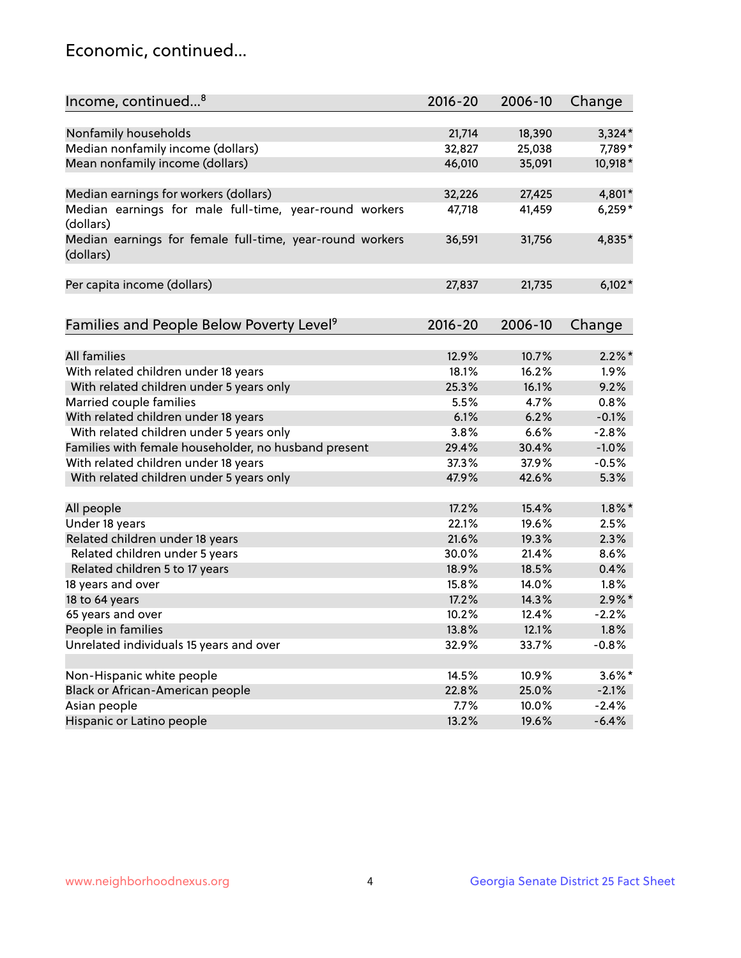## Economic, continued...

| Income, continued <sup>8</sup>                                        | $2016 - 20$ | 2006-10 | Change    |
|-----------------------------------------------------------------------|-------------|---------|-----------|
|                                                                       |             |         |           |
| Nonfamily households                                                  | 21,714      | 18,390  | $3,324*$  |
| Median nonfamily income (dollars)                                     | 32,827      | 25,038  | 7,789*    |
| Mean nonfamily income (dollars)                                       | 46,010      | 35,091  | 10,918*   |
| Median earnings for workers (dollars)                                 | 32,226      | 27,425  | 4,801*    |
| Median earnings for male full-time, year-round workers                | 47,718      | 41,459  | $6,259*$  |
| (dollars)                                                             |             |         |           |
| Median earnings for female full-time, year-round workers<br>(dollars) | 36,591      | 31,756  | 4,835*    |
| Per capita income (dollars)                                           | 27,837      | 21,735  | $6,102*$  |
|                                                                       |             |         |           |
| Families and People Below Poverty Level <sup>9</sup>                  | 2016-20     | 2006-10 | Change    |
|                                                                       |             |         |           |
| <b>All families</b>                                                   | 12.9%       | 10.7%   | $2.2\%$ * |
| With related children under 18 years                                  | 18.1%       | 16.2%   | 1.9%      |
| With related children under 5 years only                              | 25.3%       | 16.1%   | 9.2%      |
| Married couple families                                               | 5.5%        | 4.7%    | 0.8%      |
| With related children under 18 years                                  | 6.1%        | 6.2%    | $-0.1%$   |
| With related children under 5 years only                              | 3.8%        | 6.6%    | $-2.8%$   |
| Families with female householder, no husband present                  | 29.4%       | 30.4%   | $-1.0%$   |
| With related children under 18 years                                  | 37.3%       | 37.9%   | $-0.5%$   |
| With related children under 5 years only                              | 47.9%       | 42.6%   | 5.3%      |
| All people                                                            | 17.2%       | 15.4%   | $1.8\%$ * |
| Under 18 years                                                        | 22.1%       | 19.6%   | 2.5%      |
| Related children under 18 years                                       | 21.6%       | 19.3%   | 2.3%      |
| Related children under 5 years                                        | 30.0%       | 21.4%   | 8.6%      |
| Related children 5 to 17 years                                        | 18.9%       | 18.5%   | 0.4%      |
| 18 years and over                                                     | 15.8%       | 14.0%   | 1.8%      |
| 18 to 64 years                                                        | 17.2%       | 14.3%   | $2.9\%$ * |
| 65 years and over                                                     | 10.2%       | 12.4%   | $-2.2%$   |
| People in families                                                    | 13.8%       | 12.1%   | 1.8%      |
| Unrelated individuals 15 years and over                               | 32.9%       | 33.7%   | $-0.8%$   |
|                                                                       |             |         |           |
|                                                                       | 14.5%       |         |           |
| Non-Hispanic white people                                             |             | 10.9%   | $3.6\%$ * |
| Black or African-American people                                      | 22.8%       | 25.0%   | $-2.1%$   |
| Asian people                                                          | 7.7%        | 10.0%   | $-2.4%$   |
| Hispanic or Latino people                                             | 13.2%       | 19.6%   | $-6.4%$   |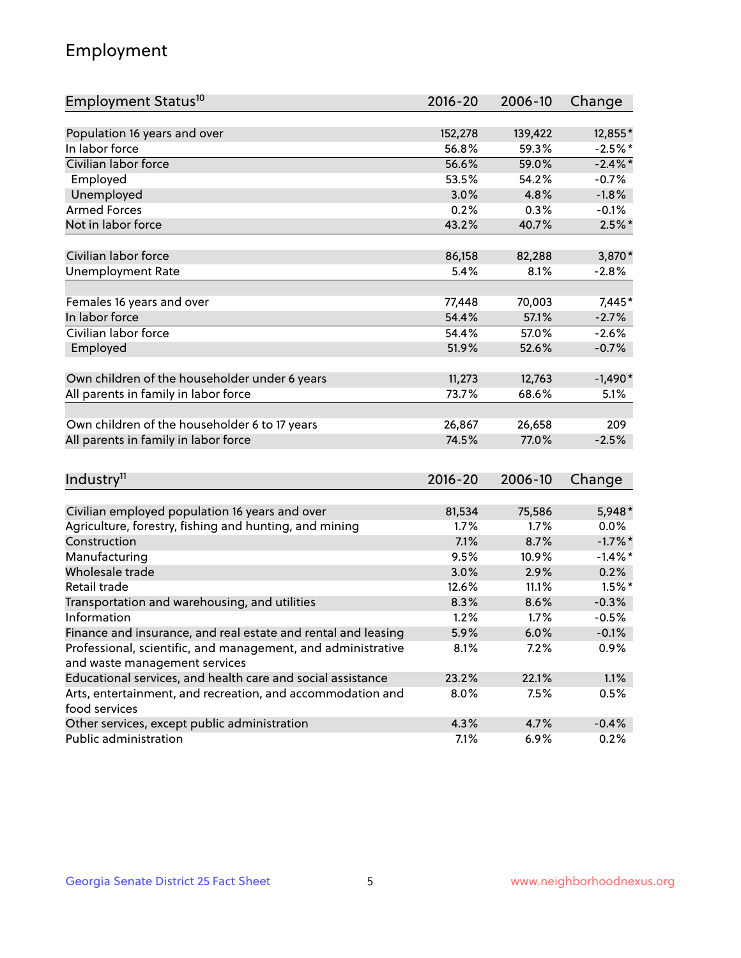## Employment

| Employment Status <sup>10</sup>                                                               | $2016 - 20$ | 2006-10 | Change     |
|-----------------------------------------------------------------------------------------------|-------------|---------|------------|
|                                                                                               |             |         |            |
| Population 16 years and over                                                                  | 152,278     | 139,422 | 12,855*    |
| In labor force                                                                                | 56.8%       | 59.3%   | $-2.5%$ *  |
| Civilian labor force                                                                          | 56.6%       | 59.0%   | $-2.4\%$ * |
| Employed                                                                                      | 53.5%       | 54.2%   | $-0.7%$    |
| Unemployed                                                                                    | 3.0%        | 4.8%    | $-1.8%$    |
| <b>Armed Forces</b>                                                                           | 0.2%        | 0.3%    | $-0.1%$    |
| Not in labor force                                                                            | 43.2%       | 40.7%   | $2.5%$ *   |
| Civilian labor force                                                                          | 86,158      | 82,288  | 3,870*     |
| <b>Unemployment Rate</b>                                                                      | 5.4%        | 8.1%    | $-2.8%$    |
|                                                                                               |             |         |            |
| Females 16 years and over                                                                     | 77,448      | 70,003  | 7,445*     |
| In labor force                                                                                | 54.4%       | 57.1%   | $-2.7%$    |
| Civilian labor force                                                                          | 54.4%       | 57.0%   | $-2.6%$    |
| Employed                                                                                      | 51.9%       | 52.6%   | $-0.7%$    |
| Own children of the householder under 6 years                                                 | 11,273      | 12,763  | $-1,490*$  |
| All parents in family in labor force                                                          | 73.7%       | 68.6%   | 5.1%       |
|                                                                                               |             |         |            |
| Own children of the householder 6 to 17 years                                                 | 26,867      | 26,658  | 209        |
| All parents in family in labor force                                                          | 74.5%       | 77.0%   | $-2.5%$    |
|                                                                                               |             |         |            |
| Industry <sup>11</sup>                                                                        | $2016 - 20$ | 2006-10 | Change     |
|                                                                                               |             |         |            |
| Civilian employed population 16 years and over                                                | 81,534      | 75,586  | 5,948*     |
| Agriculture, forestry, fishing and hunting, and mining                                        | 1.7%        | 1.7%    | $0.0\%$    |
| Construction                                                                                  | 7.1%        | 8.7%    | $-1.7\%$ * |
| Manufacturing                                                                                 | 9.5%        | 10.9%   | $-1.4\%$ * |
| Wholesale trade                                                                               | 3.0%        | 2.9%    | 0.2%       |
| Retail trade                                                                                  | 12.6%       | 11.1%   | $1.5%$ *   |
| Transportation and warehousing, and utilities                                                 | 8.3%        | 8.6%    | $-0.3%$    |
| Information                                                                                   | 1.2%        | 1.7%    | $-0.5%$    |
| Finance and insurance, and real estate and rental and leasing                                 | 5.9%        | 6.0%    | $-0.1%$    |
| Professional, scientific, and management, and administrative<br>and waste management services | 8.1%        | 7.2%    | 0.9%       |
|                                                                                               |             |         |            |
| Educational services, and health care and social assistance                                   | 23.2%       | 22.1%   | 1.1%       |
| Arts, entertainment, and recreation, and accommodation and<br>food services                   | 8.0%        | 7.5%    | 0.5%       |
| Other services, except public administration                                                  | 4.3%        | 4.7%    | $-0.4%$    |
| Public administration                                                                         | 7.1%        | 6.9%    | 0.2%       |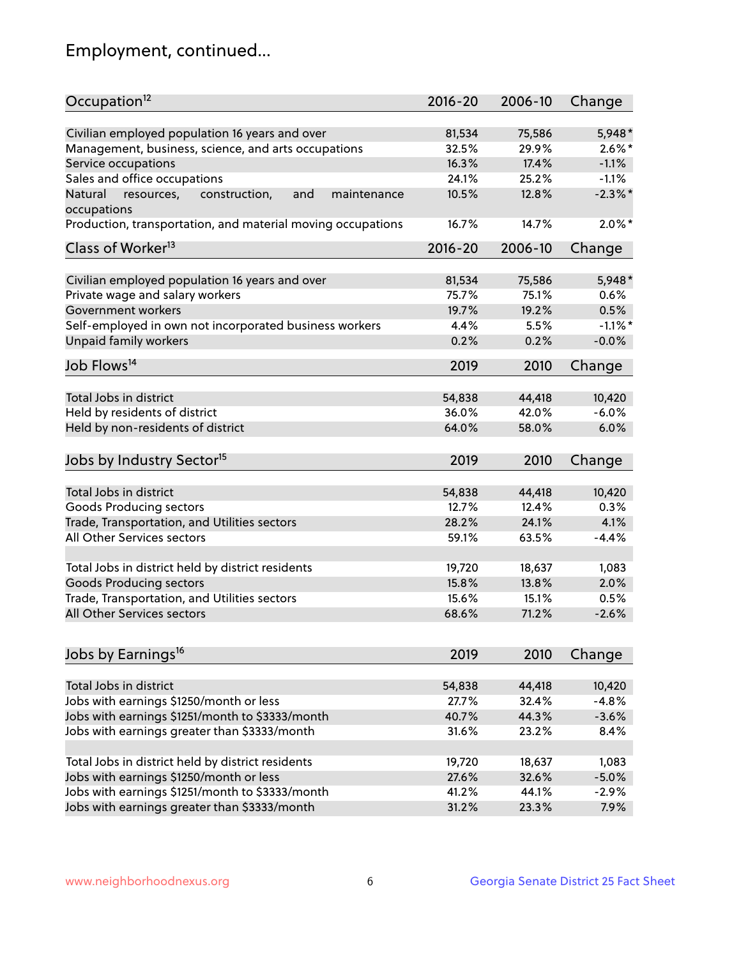## Employment, continued...

| Occupation <sup>12</sup>                                     | $2016 - 20$ | 2006-10 | Change     |
|--------------------------------------------------------------|-------------|---------|------------|
| Civilian employed population 16 years and over               | 81,534      | 75,586  | 5,948*     |
| Management, business, science, and arts occupations          | 32.5%       | 29.9%   | $2.6\%$ *  |
| Service occupations                                          | 16.3%       | 17.4%   | $-1.1%$    |
| Sales and office occupations                                 | 24.1%       | 25.2%   | $-1.1%$    |
| Natural<br>and<br>resources,<br>construction,<br>maintenance | 10.5%       | 12.8%   | $-2.3\%$ * |
| occupations                                                  |             |         |            |
| Production, transportation, and material moving occupations  | 16.7%       | 14.7%   | $2.0\%$ *  |
| Class of Worker <sup>13</sup>                                | $2016 - 20$ | 2006-10 | Change     |
|                                                              |             |         |            |
| Civilian employed population 16 years and over               | 81,534      | 75,586  | 5,948*     |
| Private wage and salary workers                              | 75.7%       | 75.1%   | 0.6%       |
| Government workers                                           | 19.7%       | 19.2%   | 0.5%       |
| Self-employed in own not incorporated business workers       | 4.4%        | 5.5%    | $-1.1\%$ * |
| <b>Unpaid family workers</b>                                 | 0.2%        | 0.2%    | $-0.0%$    |
| Job Flows <sup>14</sup>                                      | 2019        | 2010    | Change     |
|                                                              |             |         |            |
| Total Jobs in district                                       | 54,838      | 44,418  | 10,420     |
| Held by residents of district                                | 36.0%       | 42.0%   | $-6.0%$    |
| Held by non-residents of district                            | 64.0%       | 58.0%   | 6.0%       |
| Jobs by Industry Sector <sup>15</sup>                        | 2019        | 2010    | Change     |
|                                                              |             |         |            |
| Total Jobs in district                                       | 54,838      | 44,418  | 10,420     |
| Goods Producing sectors                                      | 12.7%       | 12.4%   | 0.3%       |
| Trade, Transportation, and Utilities sectors                 | 28.2%       | 24.1%   | 4.1%       |
| All Other Services sectors                                   | 59.1%       | 63.5%   | $-4.4%$    |
| Total Jobs in district held by district residents            | 19,720      | 18,637  | 1,083      |
|                                                              |             |         |            |
| <b>Goods Producing sectors</b>                               | 15.8%       | 13.8%   | 2.0%       |
| Trade, Transportation, and Utilities sectors                 | 15.6%       | 15.1%   | 0.5%       |
| All Other Services sectors                                   | 68.6%       | 71.2%   | $-2.6%$    |
| Jobs by Earnings <sup>16</sup>                               | 2019        | 2010    | Change     |
|                                                              |             |         |            |
| Total Jobs in district                                       | 54,838      | 44,418  | 10,420     |
| Jobs with earnings \$1250/month or less                      | 27.7%       | 32.4%   | $-4.8%$    |
| Jobs with earnings \$1251/month to \$3333/month              | 40.7%       | 44.3%   | $-3.6%$    |
| Jobs with earnings greater than \$3333/month                 | 31.6%       | 23.2%   | 8.4%       |
|                                                              |             |         |            |
| Total Jobs in district held by district residents            | 19,720      | 18,637  | 1,083      |
| Jobs with earnings \$1250/month or less                      | 27.6%       | 32.6%   | $-5.0%$    |
| Jobs with earnings \$1251/month to \$3333/month              | 41.2%       | 44.1%   | $-2.9%$    |
| Jobs with earnings greater than \$3333/month                 | 31.2%       | 23.3%   | 7.9%       |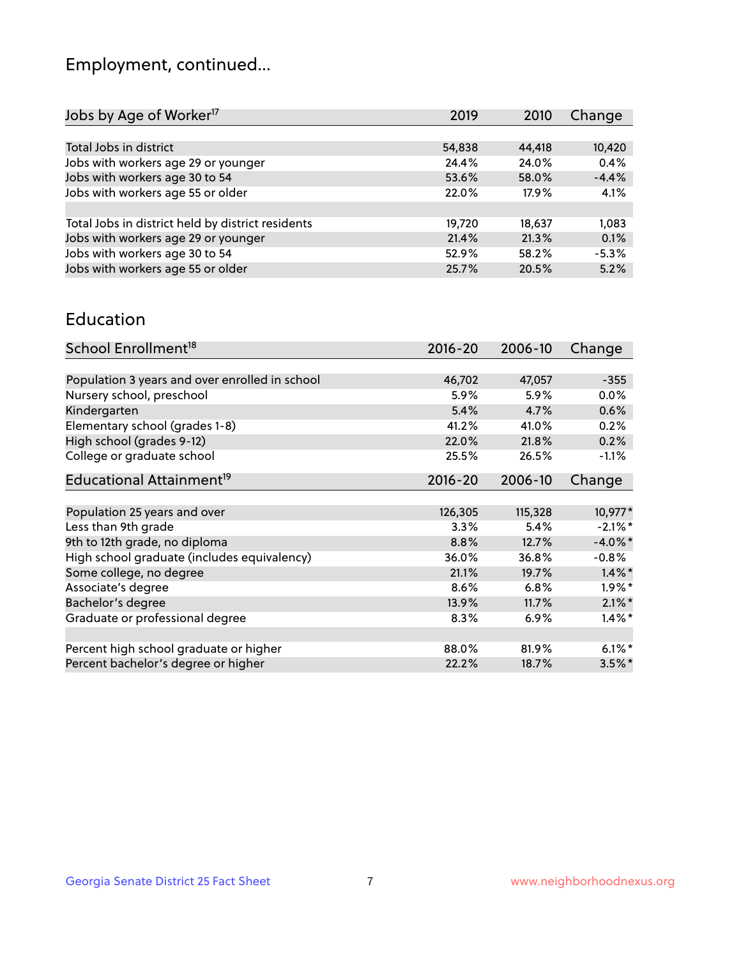## Employment, continued...

| Jobs by Age of Worker <sup>17</sup>               | 2019   | 2010   | Change  |
|---------------------------------------------------|--------|--------|---------|
|                                                   |        |        |         |
| Total Jobs in district                            | 54,838 | 44,418 | 10,420  |
| Jobs with workers age 29 or younger               | 24.4%  | 24.0%  | 0.4%    |
| Jobs with workers age 30 to 54                    | 53.6%  | 58.0%  | $-4.4%$ |
| Jobs with workers age 55 or older                 | 22.0%  | 17.9%  | 4.1%    |
|                                                   |        |        |         |
| Total Jobs in district held by district residents | 19,720 | 18,637 | 1,083   |
| Jobs with workers age 29 or younger               | 21.4%  | 21.3%  | 0.1%    |
| Jobs with workers age 30 to 54                    | 52.9%  | 58.2%  | $-5.3%$ |
| Jobs with workers age 55 or older                 | 25.7%  | 20.5%  | 5.2%    |

#### Education

| School Enrollment <sup>18</sup>                | $2016 - 20$ | 2006-10 | Change     |
|------------------------------------------------|-------------|---------|------------|
|                                                |             |         |            |
| Population 3 years and over enrolled in school | 46,702      | 47,057  | $-355$     |
| Nursery school, preschool                      | 5.9%        | 5.9%    | $0.0\%$    |
| Kindergarten                                   | 5.4%        | 4.7%    | 0.6%       |
| Elementary school (grades 1-8)                 | 41.2%       | 41.0%   | 0.2%       |
| High school (grades 9-12)                      | 22.0%       | 21.8%   | 0.2%       |
| College or graduate school                     | 25.5%       | 26.5%   | $-1.1%$    |
| Educational Attainment <sup>19</sup>           | $2016 - 20$ | 2006-10 | Change     |
|                                                |             |         |            |
| Population 25 years and over                   | 126,305     | 115,328 | 10,977*    |
| Less than 9th grade                            | 3.3%        | 5.4%    | $-2.1\%$ * |
| 9th to 12th grade, no diploma                  | 8.8%        | 12.7%   | $-4.0\%$ * |
| High school graduate (includes equivalency)    | 36.0%       | 36.8%   | $-0.8\%$   |
| Some college, no degree                        | 21.1%       | 19.7%   | $1.4\%$ *  |
| Associate's degree                             | 8.6%        | 6.8%    | $1.9\%$ *  |
| Bachelor's degree                              | 13.9%       | 11.7%   | $2.1\%$ *  |
| Graduate or professional degree                | 8.3%        | 6.9%    | $1.4\%$ *  |
|                                                |             |         |            |
| Percent high school graduate or higher         | 88.0%       | 81.9%   | $6.1\%$ *  |
| Percent bachelor's degree or higher            | 22.2%       | 18.7%   | $3.5\%$ *  |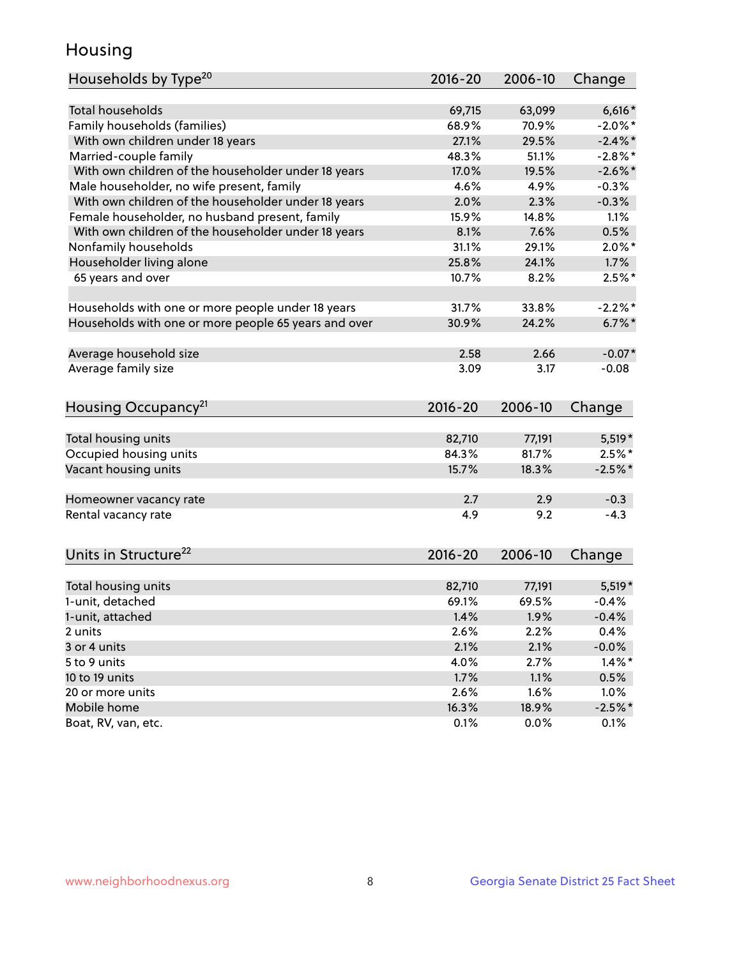## Housing

| Households by Type <sup>20</sup>                     | 2016-20       | 2006-10       | Change            |
|------------------------------------------------------|---------------|---------------|-------------------|
|                                                      |               |               |                   |
| <b>Total households</b>                              | 69,715        | 63,099        | $6,616*$          |
| Family households (families)                         | 68.9%         | 70.9%         | $-2.0\%$ *        |
| With own children under 18 years                     | 27.1%         | 29.5%         | $-2.4\%$ *        |
| Married-couple family                                | 48.3%         | 51.1%         | $-2.8\%$ *        |
| With own children of the householder under 18 years  | 17.0%         | 19.5%         | $-2.6\%$ *        |
| Male householder, no wife present, family            | 4.6%          | 4.9%          | $-0.3%$           |
| With own children of the householder under 18 years  | 2.0%          | 2.3%          | $-0.3%$           |
| Female householder, no husband present, family       | 15.9%         | 14.8%         | 1.1%              |
| With own children of the householder under 18 years  | 8.1%          | 7.6%          | 0.5%              |
| Nonfamily households                                 | 31.1%         | 29.1%         | $2.0\%$ *         |
| Householder living alone                             | 25.8%         | 24.1%         | 1.7%              |
| 65 years and over                                    | 10.7%         | 8.2%          | $2.5%$ *          |
|                                                      |               |               |                   |
| Households with one or more people under 18 years    | 31.7%         | 33.8%         | $-2.2%$ *         |
| Households with one or more people 65 years and over | 30.9%         | 24.2%         | $6.7%$ *          |
|                                                      |               |               |                   |
| Average household size                               | 2.58          | 2.66          | $-0.07*$          |
| Average family size                                  | 3.09          | 3.17          | $-0.08$           |
|                                                      |               |               |                   |
| Housing Occupancy <sup>21</sup>                      | 2016-20       | 2006-10       | Change            |
|                                                      |               |               |                   |
| Total housing units                                  | 82,710        | 77,191        | $5,519*$          |
| Occupied housing units                               | 84.3%         | 81.7%         | $2.5\%$ *         |
| Vacant housing units                                 | 15.7%         | 18.3%         | $-2.5%$ *         |
|                                                      |               |               |                   |
| Homeowner vacancy rate                               | 2.7           | 2.9           | $-0.3$            |
| Rental vacancy rate                                  | 4.9           | 9.2           | $-4.3$            |
|                                                      |               |               |                   |
| Units in Structure <sup>22</sup>                     | $2016 - 20$   | 2006-10       | Change            |
|                                                      |               |               |                   |
| Total housing units                                  | 82,710        | 77,191        | $5,519*$          |
| 1-unit, detached                                     | 69.1%         | 69.5%         | $-0.4%$           |
| 1-unit, attached                                     | 1.4%          | 1.9%          | $-0.4%$           |
| 2 units                                              | 2.6%          | 2.2%          | 0.4%              |
| 3 or 4 units                                         | 2.1%          | 2.1%          | $-0.0\%$          |
| 5 to 9 units                                         | 4.0%          | 2.7%          | $1.4\%$ *         |
| 10 to 19 units                                       | 1.7%          | 1.1%          | 0.5%              |
| 20 or more units                                     |               | 1.6%          | 1.0%              |
|                                                      |               |               |                   |
|                                                      | 2.6%          |               |                   |
| Mobile home<br>Boat, RV, van, etc.                   | 16.3%<br>0.1% | 18.9%<br>0.0% | $-2.5%$ *<br>0.1% |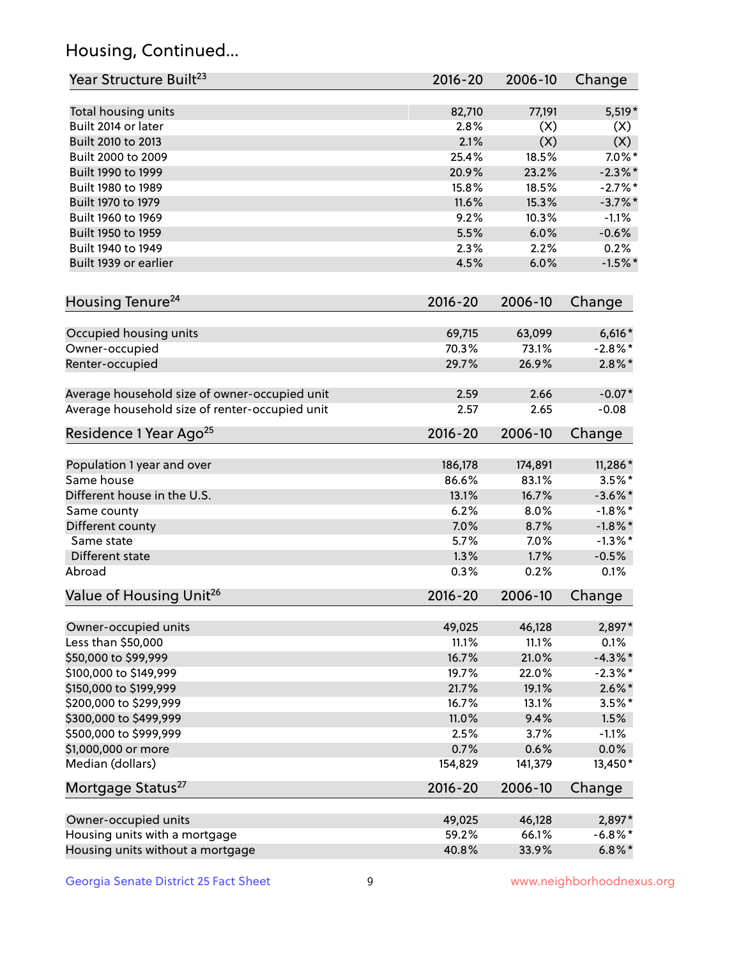## Housing, Continued...

| Year Structure Built <sup>23</sup>             | 2016-20     | 2006-10 | Change     |
|------------------------------------------------|-------------|---------|------------|
| Total housing units                            | 82,710      | 77,191  | 5,519*     |
| Built 2014 or later                            | 2.8%        | (X)     | (X)        |
| Built 2010 to 2013                             | 2.1%        | (X)     | (X)        |
| Built 2000 to 2009                             | 25.4%       | 18.5%   | $7.0\%$ *  |
| Built 1990 to 1999                             | 20.9%       | 23.2%   | $-2.3\%$ * |
| Built 1980 to 1989                             | 15.8%       | 18.5%   | $-2.7%$ *  |
| Built 1970 to 1979                             | 11.6%       | 15.3%   | $-3.7\%$ * |
| Built 1960 to 1969                             | 9.2%        | 10.3%   | $-1.1%$    |
| Built 1950 to 1959                             | 5.5%        | 6.0%    | $-0.6%$    |
| Built 1940 to 1949                             | 2.3%        | 2.2%    | 0.2%       |
| Built 1939 or earlier                          | 4.5%        | 6.0%    | $-1.5%$ *  |
| Housing Tenure <sup>24</sup>                   | $2016 - 20$ | 2006-10 | Change     |
|                                                |             |         |            |
| Occupied housing units                         | 69,715      | 63,099  | $6,616*$   |
| Owner-occupied                                 | 70.3%       | 73.1%   | $-2.8\%$ * |
| Renter-occupied                                | 29.7%       | 26.9%   | $2.8\%$ *  |
| Average household size of owner-occupied unit  | 2.59        | 2.66    | $-0.07*$   |
| Average household size of renter-occupied unit | 2.57        | 2.65    | $-0.08$    |
| Residence 1 Year Ago <sup>25</sup>             | 2016-20     | 2006-10 | Change     |
| Population 1 year and over                     | 186,178     | 174,891 | 11,286*    |
| Same house                                     | 86.6%       | 83.1%   | $3.5\%$ *  |
| Different house in the U.S.                    | 13.1%       | 16.7%   | $-3.6\%$ * |
| Same county                                    | 6.2%        | 8.0%    | $-1.8\%$ * |
| Different county                               | 7.0%        | 8.7%    | $-1.8\%$ * |
| Same state                                     | 5.7%        | 7.0%    | $-1.3\%$ * |
| Different state                                | 1.3%        | 1.7%    | $-0.5%$    |
| Abroad                                         | 0.3%        | 0.2%    | 0.1%       |
| Value of Housing Unit <sup>26</sup>            | 2016-20     | 2006-10 | Change     |
|                                                |             |         |            |
| Owner-occupied units                           | 49,025      | 46,128  | 2,897*     |
| Less than \$50,000                             | 11.1%       | 11.1%   | 0.1%       |
| \$50,000 to \$99,999                           | 16.7%       | 21.0%   | $-4.3\%$ * |
| \$100,000 to \$149,999                         | 19.7%       | 22.0%   | $-2.3\%$ * |
| \$150,000 to \$199,999                         | 21.7%       | 19.1%   | $2.6\%$ *  |
| \$200,000 to \$299,999                         | 16.7%       | 13.1%   | $3.5\%$ *  |
| \$300,000 to \$499,999                         | 11.0%       | 9.4%    | 1.5%       |
| \$500,000 to \$999,999                         | 2.5%        | 3.7%    | $-1.1%$    |
| \$1,000,000 or more                            | 0.7%        | 0.6%    | 0.0%       |
| Median (dollars)                               | 154,829     | 141,379 | 13,450*    |
| Mortgage Status <sup>27</sup>                  | 2016-20     | 2006-10 | Change     |
| Owner-occupied units                           | 49,025      | 46,128  | 2,897*     |
| Housing units with a mortgage                  | 59.2%       | 66.1%   | $-6.8\%$ * |
| Housing units without a mortgage               | 40.8%       | 33.9%   | $6.8\%$ *  |
|                                                |             |         |            |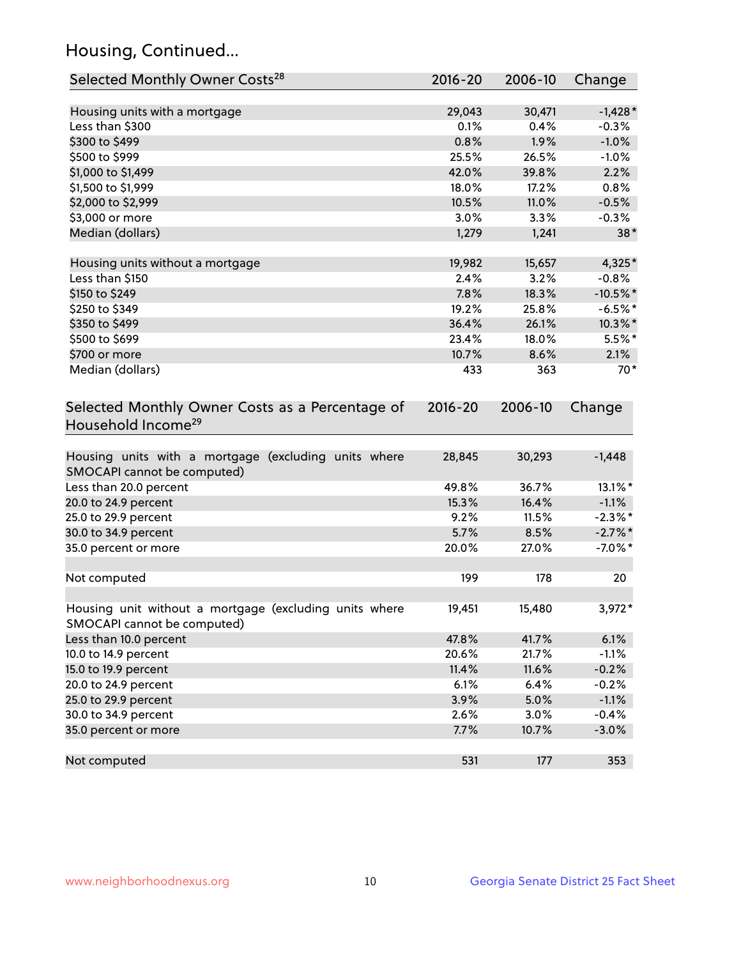## Housing, Continued...

| Selected Monthly Owner Costs <sup>28</sup>                                            | $2016 - 20$ | 2006-10 | Change      |
|---------------------------------------------------------------------------------------|-------------|---------|-------------|
| Housing units with a mortgage                                                         | 29,043      | 30,471  | $-1,428*$   |
| Less than \$300                                                                       | 0.1%        | 0.4%    | $-0.3%$     |
| \$300 to \$499                                                                        | 0.8%        | 1.9%    | $-1.0%$     |
| \$500 to \$999                                                                        | 25.5%       | 26.5%   | $-1.0%$     |
| \$1,000 to \$1,499                                                                    | 42.0%       | 39.8%   | 2.2%        |
| \$1,500 to \$1,999                                                                    | 18.0%       | 17.2%   | 0.8%        |
| \$2,000 to \$2,999                                                                    | 10.5%       | 11.0%   | $-0.5%$     |
| \$3,000 or more                                                                       | 3.0%        | 3.3%    | $-0.3%$     |
| Median (dollars)                                                                      | 1,279       | 1,241   | $38*$       |
|                                                                                       |             |         |             |
| Housing units without a mortgage                                                      | 19,982      | 15,657  | 4,325*      |
| Less than \$150                                                                       | 2.4%        | 3.2%    | $-0.8%$     |
| \$150 to \$249                                                                        | 7.8%        | 18.3%   | $-10.5\%$ * |
| \$250 to \$349                                                                        | 19.2%       | 25.8%   | $-6.5%$ *   |
| \$350 to \$499                                                                        | 36.4%       | 26.1%   | 10.3%*      |
| \$500 to \$699                                                                        | 23.4%       | 18.0%   | $5.5%$ *    |
| \$700 or more                                                                         | 10.7%       | 8.6%    | 2.1%        |
| Median (dollars)                                                                      | 433         | 363     | $70*$       |
| Selected Monthly Owner Costs as a Percentage of<br>Household Income <sup>29</sup>     | $2016 - 20$ | 2006-10 | Change      |
| Housing units with a mortgage (excluding units where<br>SMOCAPI cannot be computed)   | 28,845      | 30,293  | $-1,448$    |
| Less than 20.0 percent                                                                | 49.8%       | 36.7%   | 13.1%*      |
| 20.0 to 24.9 percent                                                                  | 15.3%       | 16.4%   | $-1.1%$     |
| 25.0 to 29.9 percent                                                                  | 9.2%        | 11.5%   | $-2.3\%$ *  |
| 30.0 to 34.9 percent                                                                  | 5.7%        | 8.5%    | $-2.7\%$ *  |
| 35.0 percent or more                                                                  | 20.0%       | 27.0%   | $-7.0\%$ *  |
| Not computed                                                                          | 199         | 178     | 20          |
| Housing unit without a mortgage (excluding units where<br>SMOCAPI cannot be computed) | 19,451      | 15,480  | 3,972*      |
| Less than 10.0 percent                                                                | 47.8%       | 41.7%   | 6.1%        |
| 10.0 to 14.9 percent                                                                  | 20.6%       | 21.7%   | $-1.1%$     |
| 15.0 to 19.9 percent                                                                  | 11.4%       | 11.6%   | $-0.2%$     |
| 20.0 to 24.9 percent                                                                  | 6.1%        | 6.4%    | $-0.2%$     |
| 25.0 to 29.9 percent                                                                  | 3.9%        | 5.0%    | $-1.1%$     |
| 30.0 to 34.9 percent                                                                  | 2.6%        | 3.0%    | $-0.4%$     |
| 35.0 percent or more                                                                  | 7.7%        | 10.7%   | $-3.0%$     |
| Not computed                                                                          | 531         | 177     | 353         |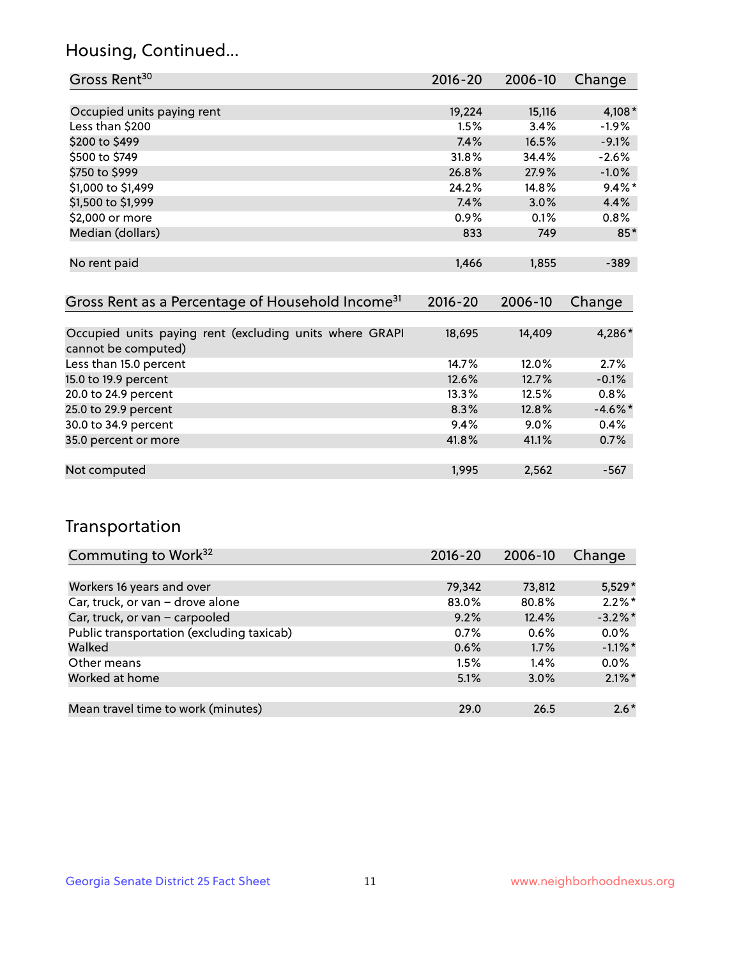## Housing, Continued...

| Gross Rent <sup>30</sup>                                                       | 2016-20     | 2006-10 | Change     |
|--------------------------------------------------------------------------------|-------------|---------|------------|
|                                                                                |             |         |            |
| Occupied units paying rent                                                     | 19,224      | 15,116  | $4,108*$   |
| Less than \$200                                                                | 1.5%        | 3.4%    | $-1.9%$    |
| \$200 to \$499                                                                 | 7.4%        | 16.5%   | $-9.1%$    |
| \$500 to \$749                                                                 | 31.8%       | 34.4%   | $-2.6%$    |
| \$750 to \$999                                                                 | 26.8%       | 27.9%   | $-1.0\%$   |
| \$1,000 to \$1,499                                                             | 24.2%       | 14.8%   | $9.4\%$ *  |
| \$1,500 to \$1,999                                                             | 7.4%        | $3.0\%$ | 4.4%       |
| \$2,000 or more                                                                | 0.9%        | 0.1%    | $0.8\%$    |
| Median (dollars)                                                               | 833         | 749     | $85*$      |
|                                                                                |             |         |            |
| No rent paid                                                                   | 1,466       | 1,855   | $-389$     |
|                                                                                |             |         |            |
| Gross Rent as a Percentage of Household Income <sup>31</sup>                   | $2016 - 20$ | 2006-10 | Change     |
|                                                                                |             |         |            |
| Occupied units paying rent (excluding units where GRAPI<br>cannot be computed) | 18,695      | 14,409  | 4,286*     |
| Less than 15.0 percent                                                         | 14.7%       | 12.0%   | 2.7%       |
| 15.0 to 19.9 percent                                                           | 12.6%       | 12.7%   | $-0.1%$    |
| 20.0 to 24.9 percent                                                           | 13.3%       | 12.5%   | $0.8\%$    |
| 25.0 to 29.9 percent                                                           | 8.3%        | 12.8%   | $-4.6\%$ * |

| 30.0 to 34.9 percent | 9.4%  | $9.0\%$ | $0.4\%$ |
|----------------------|-------|---------|---------|
| 35.0 percent or more | 41.8% | 41.1%   | $0.7\%$ |
|                      |       |         |         |
| Not computed         | 1.995 | 2.562   | -567    |
|                      |       |         |         |

## Transportation

| Commuting to Work <sup>32</sup>           | 2016-20 | 2006-10 | Change     |
|-------------------------------------------|---------|---------|------------|
|                                           |         |         |            |
| Workers 16 years and over                 | 79,342  | 73,812  | $5,529*$   |
| Car, truck, or van - drove alone          | 83.0%   | 80.8%   | $2.2\%$ *  |
| Car, truck, or van - carpooled            | 9.2%    | 12.4%   | $-3.2\%$ * |
| Public transportation (excluding taxicab) | 0.7%    | 0.6%    | $0.0\%$    |
| Walked                                    | 0.6%    | 1.7%    | $-1.1\%$ * |
| Other means                               | 1.5%    | 1.4%    | $0.0\%$    |
| Worked at home                            | 5.1%    | 3.0%    | $2.1\%$ *  |
|                                           |         |         |            |
| Mean travel time to work (minutes)        | 29.0    | 26.5    | $2.6*$     |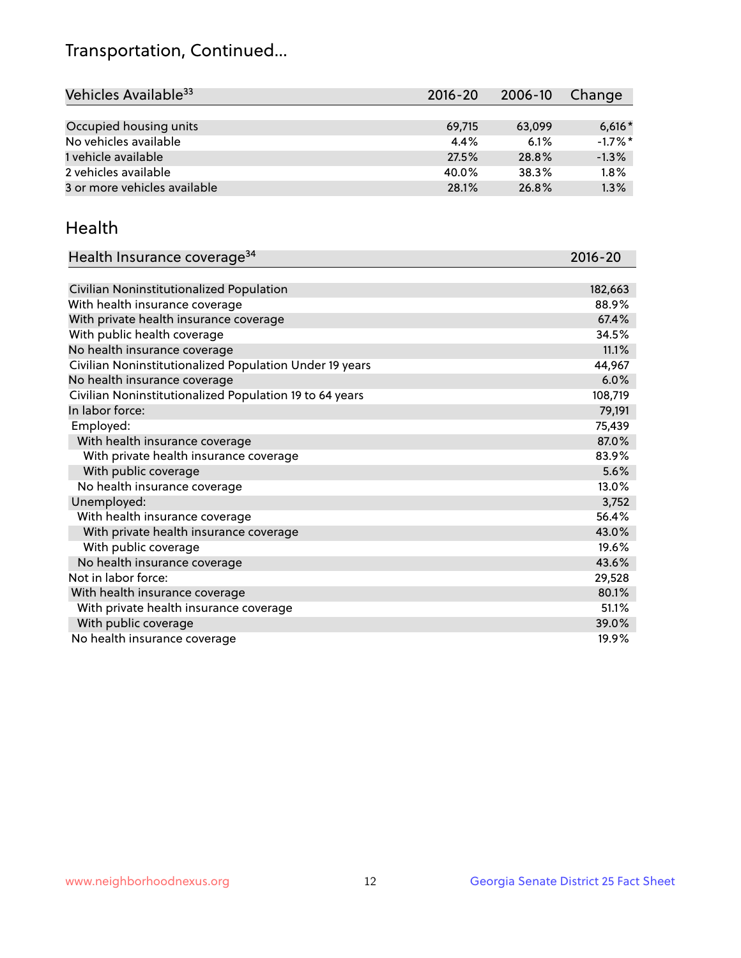## Transportation, Continued...

| Vehicles Available <sup>33</sup> | 2016-20 | 2006-10 | Change     |
|----------------------------------|---------|---------|------------|
|                                  |         |         |            |
| Occupied housing units           | 69,715  | 63,099  | $6,616*$   |
| No vehicles available            | 4.4%    | 6.1%    | $-1.7\%$ * |
| 1 vehicle available              | 27.5%   | 28.8%   | $-1.3%$    |
| 2 vehicles available             | 40.0%   | 38.3%   | 1.8%       |
| 3 or more vehicles available     | 28.1%   | 26.8%   | 1.3%       |

#### Health

| Health Insurance coverage <sup>34</sup>                 | 2016-20 |
|---------------------------------------------------------|---------|
|                                                         |         |
| Civilian Noninstitutionalized Population                | 182,663 |
| With health insurance coverage                          | 88.9%   |
| With private health insurance coverage                  | 67.4%   |
| With public health coverage                             | 34.5%   |
| No health insurance coverage                            | 11.1%   |
| Civilian Noninstitutionalized Population Under 19 years | 44,967  |
| No health insurance coverage                            | 6.0%    |
| Civilian Noninstitutionalized Population 19 to 64 years | 108,719 |
| In labor force:                                         | 79,191  |
| Employed:                                               | 75,439  |
| With health insurance coverage                          | 87.0%   |
| With private health insurance coverage                  | 83.9%   |
| With public coverage                                    | 5.6%    |
| No health insurance coverage                            | 13.0%   |
| Unemployed:                                             | 3,752   |
| With health insurance coverage                          | 56.4%   |
| With private health insurance coverage                  | 43.0%   |
| With public coverage                                    | 19.6%   |
| No health insurance coverage                            | 43.6%   |
| Not in labor force:                                     | 29,528  |
| With health insurance coverage                          | 80.1%   |
| With private health insurance coverage                  | 51.1%   |
| With public coverage                                    | 39.0%   |
| No health insurance coverage                            | 19.9%   |